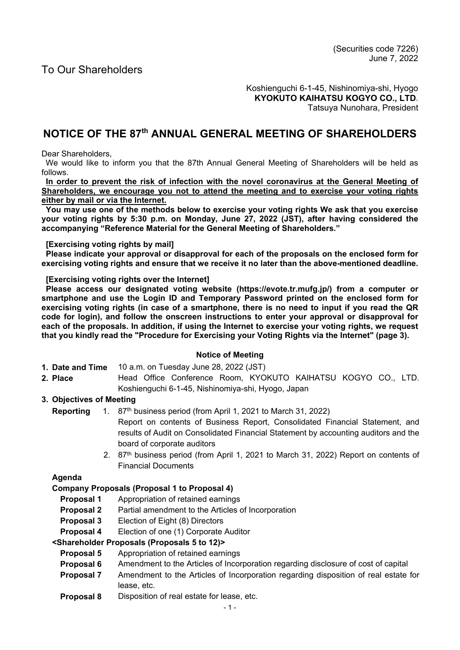Koshienguchi 6-1-45, Nishinomiya-shi, Hyogo **KYOKUTO KAIHATSU KOGYO CO., LTD**. Tatsuya Nunohara, President

# **NOTICE OF THE 87th ANNUAL GENERAL MEETING OF SHAREHOLDERS**

Dear Shareholders,

We would like to inform you that the 87th Annual General Meeting of Shareholders will be held as follows.

**In order to prevent the risk of infection with the novel coronavirus at the General Meeting of Shareholders, we encourage you not to attend the meeting and to exercise your voting rights either by mail or via the Internet.** 

**You may use one of the methods below to exercise your voting rights We ask that you exercise your voting rights by 5:30 p.m. on Monday, June 27, 2022 (JST), after having considered the accompanying "Reference Material for the General Meeting of Shareholders."** 

### **[Exercising voting rights by mail]**

**Please indicate your approval or disapproval for each of the proposals on the enclosed form for exercising voting rights and ensure that we receive it no later than the above-mentioned deadline.** 

### **[Exercising voting rights over the Internet]**

**Please access our designated voting website (https://evote.tr.mufg.jp/) from a computer or smartphone and use the Login ID and Temporary Password printed on the enclosed form for exercising voting rights (in case of a smartphone, there is no need to input if you read the QR code for login), and follow the onscreen instructions to enter your approval or disapproval for each of the proposals. In addition, if using the Internet to exercise your voting rights, we request that you kindly read the "Procedure for Exercising your Voting Rights via the Internet" (page 3).** 

## **Notice of Meeting**

- **1. Date and Time** 10 a.m. on Tuesday June 28, 2022 (JST)
- **2. Place** Head Office Conference Room, KYOKUTO KAIHATSU KOGYO CO., LTD. Koshienguchi 6-1-45, Nishinomiya-shi, Hyogo, Japan

# **3. Objectives of Meeting**

- **Reporting** 1. 87th business period (from April 1, 2021 to March 31, 2022)
	- Report on contents of Business Report, Consolidated Financial Statement, and results of Audit on Consolidated Financial Statement by accounting auditors and the board of corporate auditors
	- 2. 87th business period (from April 1, 2021 to March 31, 2022) Report on contents of Financial Documents

# **Agenda**

# **Company Proposals (Proposal 1 to Proposal 4)**

- **Proposal 1** Appropriation of retained earnings
- **Proposal 2** Partial amendment to the Articles of Incorporation
- **Proposal 3** Election of Eight (8) Directors
- **Proposal 4** Election of one (1) Corporate Auditor

## **<Shareholder Proposals (Proposals 5 to 12)>**

- **Proposal 5** Appropriation of retained earnings
- **Proposal 6** Amendment to the Articles of Incorporation regarding disclosure of cost of capital
- **Proposal 7** Amendment to the Articles of Incorporation regarding disposition of real estate for lease, etc.
- **Proposal 8** Disposition of real estate for lease, etc.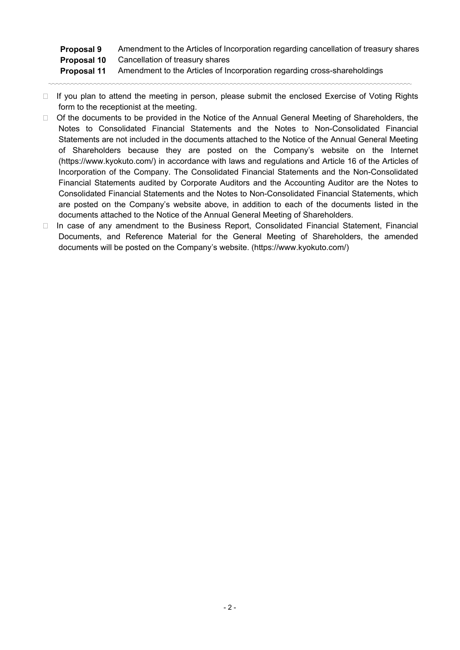# **Proposal 9** Amendment to the Articles of Incorporation regarding cancellation of treasury shares  **Proposal 10** Cancellation of treasury shares **Proposal 11** Amendment to the Articles of Incorporation regarding cross-shareholdings

□ If you plan to attend the meeting in person, please submit the enclosed Exercise of Voting Rights form to the receptionist at the meeting.

〰〰〰〰〰〰〰〰〰〰〰〰〰〰〰〰〰〰〰〰〰〰〰〰〰〰〰〰〰〰〰〰〰〰〰〰〰〰〰〰〰〰〰〰〰〰〰〰

- $\Box$  Of the documents to be provided in the Notice of the Annual General Meeting of Shareholders, the Notes to Consolidated Financial Statements and the Notes to Non-Consolidated Financial Statements are not included in the documents attached to the Notice of the Annual General Meeting of Shareholders because they are posted on the Company's website on the Internet (https://www.kyokuto.com/) in accordance with laws and regulations and Article 16 of the Articles of Incorporation of the Company. The Consolidated Financial Statements and the Non-Consolidated Financial Statements audited by Corporate Auditors and the Accounting Auditor are the Notes to Consolidated Financial Statements and the Notes to Non-Consolidated Financial Statements, which are posted on the Company's website above, in addition to each of the documents listed in the documents attached to the Notice of the Annual General Meeting of Shareholders.
- □ In case of any amendment to the Business Report, Consolidated Financial Statement, Financial Documents, and Reference Material for the General Meeting of Shareholders, the amended documents will be posted on the Company's website. (https://www.kyokuto.com/)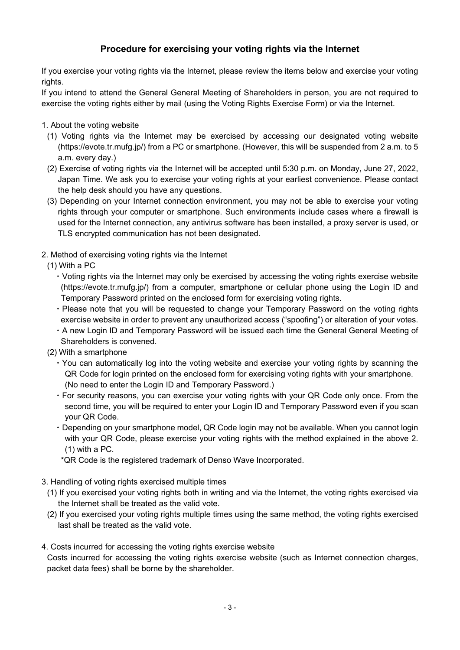# **Procedure for exercising your voting rights via the Internet**

If you exercise your voting rights via the Internet, please review the items below and exercise your voting rights.

If you intend to attend the General General Meeting of Shareholders in person, you are not required to exercise the voting rights either by mail (using the Voting Rights Exercise Form) or via the Internet.

1. About the voting website

- (1) Voting rights via the Internet may be exercised by accessing our designated voting website (https://evote.tr.mufg.jp/) from a PC or smartphone. (However, this will be suspended from 2 a.m. to 5 a.m. every day.)
- (2) Exercise of voting rights via the Internet will be accepted until 5:30 p.m. on Monday, June 27, 2022, Japan Time. We ask you to exercise your voting rights at your earliest convenience. Please contact the help desk should you have any questions.
- (3) Depending on your Internet connection environment, you may not be able to exercise your voting rights through your computer or smartphone. Such environments include cases where a firewall is used for the Internet connection, any antivirus software has been installed, a proxy server is used, or TLS encrypted communication has not been designated.
- 2. Method of exercising voting rights via the Internet
	- (1) With a PC
		- ・Voting rights via the Internet may only be exercised by accessing the voting rights exercise website (https://evote.tr.mufg.jp/) from a computer, smartphone or cellular phone using the Login ID and Temporary Password printed on the enclosed form for exercising voting rights.
		- ・Please note that you will be requested to change your Temporary Password on the voting rights exercise website in order to prevent any unauthorized access ("spoofing") or alteration of your votes.
		- ・A new Login ID and Temporary Password will be issued each time the General General Meeting of Shareholders is convened.
- (2) With a smartphone
	- ・You can automatically log into the voting website and exercise your voting rights by scanning the QR Code for login printed on the enclosed form for exercising voting rights with your smartphone. (No need to enter the Login ID and Temporary Password.)
	- ・For security reasons, you can exercise your voting rights with your QR Code only once. From the second time, you will be required to enter your Login ID and Temporary Password even if you scan your QR Code.
	- ・Depending on your smartphone model, QR Code login may not be available. When you cannot login with your QR Code, please exercise your voting rights with the method explained in the above 2. (1) with a PC.
	- \*QR Code is the registered trademark of Denso Wave Incorporated.
- 3. Handling of voting rights exercised multiple times
	- (1) If you exercised your voting rights both in writing and via the Internet, the voting rights exercised via the Internet shall be treated as the valid vote.
	- (2) If you exercised your voting rights multiple times using the same method, the voting rights exercised last shall be treated as the valid vote.
- 4. Costs incurred for accessing the voting rights exercise website Costs incurred for accessing the voting rights exercise website (such as Internet connection charges, packet data fees) shall be borne by the shareholder.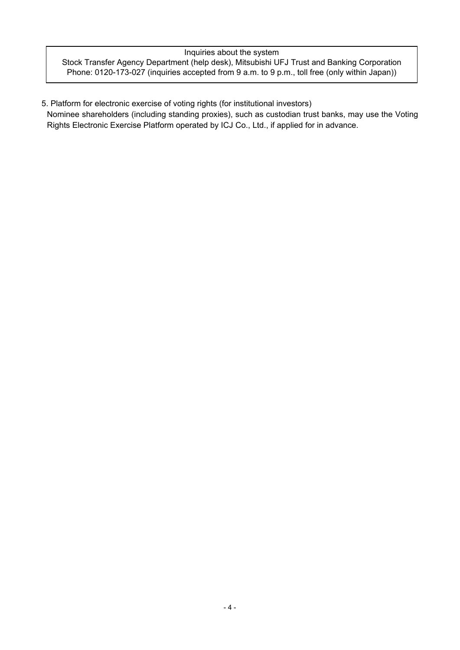## Inquiries about the system Stock Transfer Agency Department (help desk), Mitsubishi UFJ Trust and Banking Corporation Phone: 0120-173-027 (inquiries accepted from 9 a.m. to 9 p.m., toll free (only within Japan))

5. Platform for electronic exercise of voting rights (for institutional investors)

Nominee shareholders (including standing proxies), such as custodian trust banks, may use the Voting Rights Electronic Exercise Platform operated by ICJ Co., Ltd., if applied for in advance.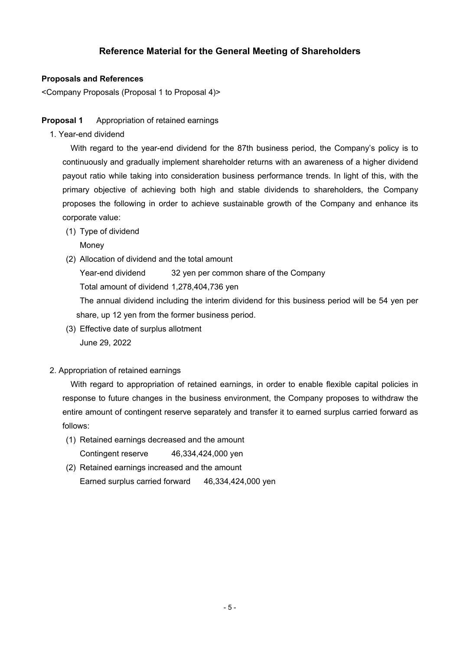# **Reference Material for the General Meeting of Shareholders**

# **Proposals and References**

<Company Proposals (Proposal 1 to Proposal 4)>

## **Proposal 1** Appropriation of retained earnings

1. Year-end dividend

With regard to the year-end dividend for the 87th business period, the Company's policy is to continuously and gradually implement shareholder returns with an awareness of a higher dividend payout ratio while taking into consideration business performance trends. In light of this, with the primary objective of achieving both high and stable dividends to shareholders, the Company proposes the following in order to achieve sustainable growth of the Company and enhance its corporate value:

(1) Type of dividend

**Money** 

(2) Allocation of dividend and the total amount

Year-end dividend 32 yen per common share of the Company

Total amount of dividend 1,278,404,736 yen

The annual dividend including the interim dividend for this business period will be 54 yen per share, up 12 yen from the former business period.

(3) Effective date of surplus allotment June 29, 2022

# 2. Appropriation of retained earnings

With regard to appropriation of retained earnings, in order to enable flexible capital policies in response to future changes in the business environment, the Company proposes to withdraw the entire amount of contingent reserve separately and transfer it to earned surplus carried forward as follows:

- (1) Retained earnings decreased and the amount Contingent reserve 46,334,424,000 yen
- (2) Retained earnings increased and the amount Earned surplus carried forward 46,334,424,000 yen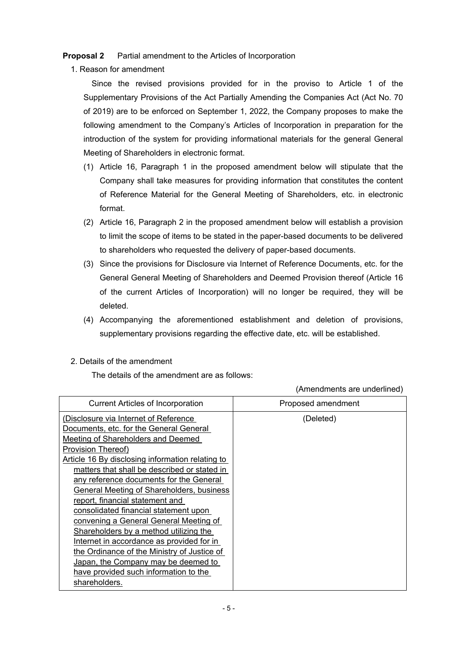**Proposal 2** Partial amendment to the Articles of Incorporation

1. Reason for amendment

Since the revised provisions provided for in the proviso to Article 1 of the Supplementary Provisions of the Act Partially Amending the Companies Act (Act No. 70 of 2019) are to be enforced on September 1, 2022, the Company proposes to make the following amendment to the Company's Articles of Incorporation in preparation for the introduction of the system for providing informational materials for the general General Meeting of Shareholders in electronic format.

- (1) Article 16, Paragraph 1 in the proposed amendment below will stipulate that the Company shall take measures for providing information that constitutes the content of Reference Material for the General Meeting of Shareholders, etc. in electronic format.
- (2) Article 16, Paragraph 2 in the proposed amendment below will establish a provision to limit the scope of items to be stated in the paper-based documents to be delivered to shareholders who requested the delivery of paper-based documents.
- (3) Since the provisions for Disclosure via Internet of Reference Documents, etc. for the General General Meeting of Shareholders and Deemed Provision thereof (Article 16 of the current Articles of Incorporation) will no longer be required, they will be deleted.
- (4) Accompanying the aforementioned establishment and deletion of provisions, supplementary provisions regarding the effective date, etc. will be established.
- 2. Details of the amendment

The details of the amendment are as follows:

(Amendments are underlined)

| <b>Current Articles of Incorporation</b>         | Proposed amendment |
|--------------------------------------------------|--------------------|
| (Disclosure via Internet of Reference            | (Deleted)          |
| Documents, etc. for the General General          |                    |
| Meeting of Shareholders and Deemed               |                    |
| Provision Thereof)                               |                    |
| Article 16 By disclosing information relating to |                    |
| matters that shall be described or stated in     |                    |
| any reference documents for the General          |                    |
| General Meeting of Shareholders, business        |                    |
| report, financial statement and                  |                    |
| consolidated financial statement upon            |                    |
| convening a General General Meeting of           |                    |
| Shareholders by a method utilizing the           |                    |
| Internet in accordance as provided for in        |                    |
| the Ordinance of the Ministry of Justice of      |                    |
| Japan, the Company may be deemed to              |                    |
| have provided such information to the            |                    |
| shareholders.                                    |                    |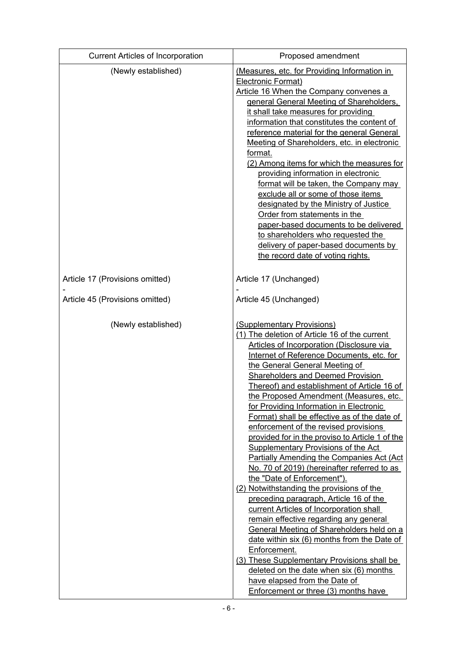| <b>Current Articles of Incorporation</b> | Proposed amendment                                                                                                                                                                                                                                                                                                                                                                                                                                                                                                                                                                                                                                                                                                                                                                                                                                                                                                                                                                                                                                                                                                                                                             |  |  |  |
|------------------------------------------|--------------------------------------------------------------------------------------------------------------------------------------------------------------------------------------------------------------------------------------------------------------------------------------------------------------------------------------------------------------------------------------------------------------------------------------------------------------------------------------------------------------------------------------------------------------------------------------------------------------------------------------------------------------------------------------------------------------------------------------------------------------------------------------------------------------------------------------------------------------------------------------------------------------------------------------------------------------------------------------------------------------------------------------------------------------------------------------------------------------------------------------------------------------------------------|--|--|--|
| (Newly established)                      | (Measures, etc. for Providing Information in<br><b>Electronic Format)</b><br>Article 16 When the Company convenes a<br>general General Meeting of Shareholders,<br>it shall take measures for providing<br>information that constitutes the content of<br>reference material for the general General<br>Meeting of Shareholders, etc. in electronic<br>format.<br>(2) Among items for which the measures for<br>providing information in electronic<br>format will be taken, the Company may<br>exclude all or some of those items<br>designated by the Ministry of Justice<br>Order from statements in the<br>paper-based documents to be delivered<br>to shareholders who requested the<br>delivery of paper-based documents by<br>the record date of voting rights.                                                                                                                                                                                                                                                                                                                                                                                                         |  |  |  |
| Article 17 (Provisions omitted)          | Article 17 (Unchanged)                                                                                                                                                                                                                                                                                                                                                                                                                                                                                                                                                                                                                                                                                                                                                                                                                                                                                                                                                                                                                                                                                                                                                         |  |  |  |
| Article 45 (Provisions omitted)          | Article 45 (Unchanged)                                                                                                                                                                                                                                                                                                                                                                                                                                                                                                                                                                                                                                                                                                                                                                                                                                                                                                                                                                                                                                                                                                                                                         |  |  |  |
| (Newly established)                      | (Supplementary Provisions)<br>(1) The deletion of Article 16 of the current<br><b>Articles of Incorporation (Disclosure via</b><br>Internet of Reference Documents, etc. for<br>the General General Meeting of<br><b>Shareholders and Deemed Provision</b><br>Thereof) and establishment of Article 16 of<br>the Proposed Amendment (Measures, etc.<br>for Providing Information in Electronic<br>Format) shall be effective as of the date of<br>enforcement of the revised provisions<br>provided for in the proviso to Article 1 of the<br><b>Supplementary Provisions of the Act</b><br>Partially Amending the Companies Act (Act<br>No. 70 of 2019) (hereinafter referred to as<br>the "Date of Enforcement").<br>(2) Notwithstanding the provisions of the<br>preceding paragraph, Article 16 of the<br>current Articles of Incorporation shall<br>remain effective regarding any general<br>General Meeting of Shareholders held on a<br>date within six (6) months from the Date of<br>Enforcement.<br>(3) These Supplementary Provisions shall be<br>deleted on the date when six (6) months<br>have elapsed from the Date of<br>Enforcement or three (3) months have |  |  |  |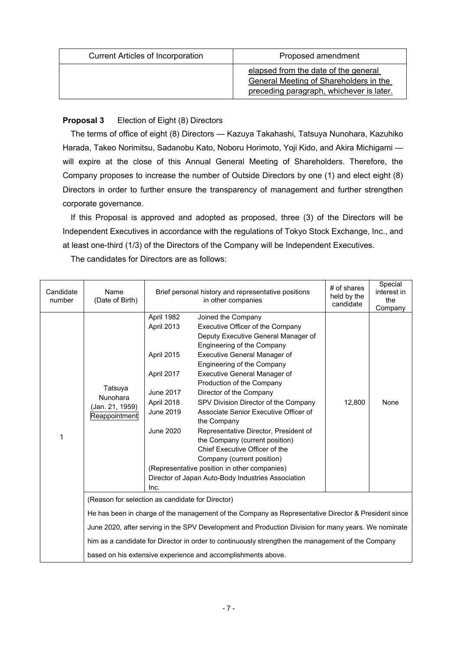| <b>Current Articles of Incorporation</b> | Proposed amendment                                                                                                         |
|------------------------------------------|----------------------------------------------------------------------------------------------------------------------------|
|                                          | elapsed from the date of the general<br>General Meeting of Shareholders in the<br>preceding paragraph, whichever is later. |

# **Proposal 3** Election of Eight (8) Directors

The terms of office of eight (8) Directors — Kazuya Takahashi, Tatsuya Nunohara, Kazuhiko Harada, Takeo Norimitsu, Sadanobu Kato, Noboru Horimoto, Yoji Kido, and Akira Michigami will expire at the close of this Annual General Meeting of Shareholders. Therefore, the Company proposes to increase the number of Outside Directors by one (1) and elect eight (8) Directors in order to further ensure the transparency of management and further strengthen corporate governance.

If this Proposal is approved and adopted as proposed, three (3) of the Directors will be Independent Executives in accordance with the regulations of Tokyo Stock Exchange, Inc., and at least one-third (1/3) of the Directors of the Company will be Independent Executives.

The candidates for Directors are as follows:

| Candidate<br>number | Name<br>(Date of Birth)                                 | Brief personal history and representative positions<br>in other companies                                                              |                                                                                                                                                                                                                                                                                                                                                                                                                                                                                                                                                                                                                                                  | # of shares<br>held by the<br>candidate | Special<br>interest in<br>the<br>Company |
|---------------------|---------------------------------------------------------|----------------------------------------------------------------------------------------------------------------------------------------|--------------------------------------------------------------------------------------------------------------------------------------------------------------------------------------------------------------------------------------------------------------------------------------------------------------------------------------------------------------------------------------------------------------------------------------------------------------------------------------------------------------------------------------------------------------------------------------------------------------------------------------------------|-----------------------------------------|------------------------------------------|
| 1                   | Tatsuya<br>Nunohara<br>(Jan. 21, 1959)<br>Reappointment | April 1982<br>April 2013<br>April 2015<br>April 2017<br><b>June 2017</b><br>April 2018<br><b>June 2019</b><br><b>June 2020</b><br>Inc. | Joined the Company<br>Executive Officer of the Company<br>Deputy Executive General Manager of<br>Engineering of the Company<br><b>Executive General Manager of</b><br>Engineering of the Company<br><b>Executive General Manager of</b><br>Production of the Company<br>Director of the Company<br>SPV Division Director of the Company<br>Associate Senior Executive Officer of<br>the Company<br>Representative Director, President of<br>the Company (current position)<br>Chief Executive Officer of the<br>Company (current position)<br>(Representative position in other companies)<br>Director of Japan Auto-Body Industries Association | 12.800                                  | None                                     |
|                     | (Reason for selection as candidate for Director)        |                                                                                                                                        |                                                                                                                                                                                                                                                                                                                                                                                                                                                                                                                                                                                                                                                  |                                         |                                          |
|                     |                                                         |                                                                                                                                        | He has been in charge of the management of the Company as Representative Director & President since                                                                                                                                                                                                                                                                                                                                                                                                                                                                                                                                              |                                         |                                          |
|                     |                                                         |                                                                                                                                        | June 2020, after serving in the SPV Development and Production Division for many years. We nominate                                                                                                                                                                                                                                                                                                                                                                                                                                                                                                                                              |                                         |                                          |
|                     |                                                         |                                                                                                                                        | him as a candidate for Director in order to continuously strengthen the management of the Company                                                                                                                                                                                                                                                                                                                                                                                                                                                                                                                                                |                                         |                                          |
|                     |                                                         |                                                                                                                                        | based on his extensive experience and accomplishments above.                                                                                                                                                                                                                                                                                                                                                                                                                                                                                                                                                                                     |                                         |                                          |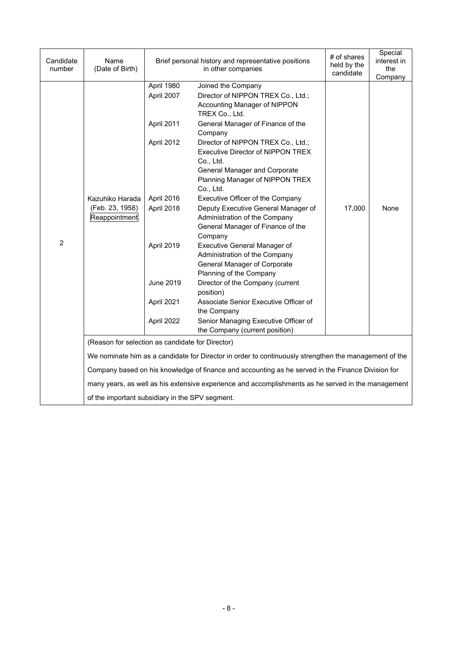| Candidate<br>number | Name<br>(Date of Birth)                          |                          | Brief personal history and representative positions<br>in other companies                                                                                                    | # of shares<br>held by the<br>candidate | Special<br>interest in<br>the<br>Company |
|---------------------|--------------------------------------------------|--------------------------|------------------------------------------------------------------------------------------------------------------------------------------------------------------------------|-----------------------------------------|------------------------------------------|
|                     |                                                  | April 1980<br>April 2007 | Joined the Company<br>Director of NIPPON TREX Co., Ltd.;<br>Accounting Manager of NIPPON<br>TREX Co., Ltd.                                                                   |                                         |                                          |
|                     |                                                  | April 2011               | General Manager of Finance of the<br>Company                                                                                                                                 |                                         |                                          |
|                     | Kazuhiko Harada                                  | April 2012               | Director of NIPPON TREX Co., Ltd.;<br><b>Executive Director of NIPPON TREX</b><br>Co., Ltd.<br>General Manager and Corporate<br>Planning Manager of NIPPON TREX<br>Co., Ltd. |                                         |                                          |
|                     |                                                  | April 2016               | Executive Officer of the Company                                                                                                                                             |                                         |                                          |
|                     | (Feb. 23, 1958)<br>Reappointment                 | April 2018               | Deputy Executive General Manager of<br>Administration of the Company<br>General Manager of Finance of the<br>Company                                                         | 17,000                                  | None                                     |
| $\overline{2}$      |                                                  | April 2019               | <b>Executive General Manager of</b><br>Administration of the Company<br>General Manager of Corporate<br>Planning of the Company                                              |                                         |                                          |
|                     |                                                  | June 2019                | Director of the Company (current<br>position)                                                                                                                                |                                         |                                          |
|                     |                                                  | April 2021               | Associate Senior Executive Officer of<br>the Company                                                                                                                         |                                         |                                          |
|                     |                                                  | April 2022               | Senior Managing Executive Officer of<br>the Company (current position)                                                                                                       |                                         |                                          |
|                     | (Reason for selection as candidate for Director) |                          |                                                                                                                                                                              |                                         |                                          |
|                     |                                                  |                          | We nominate him as a candidate for Director in order to continuously strengthen the management of the                                                                        |                                         |                                          |
|                     |                                                  |                          | Company based on his knowledge of finance and accounting as he served in the Finance Division for                                                                            |                                         |                                          |
|                     |                                                  |                          |                                                                                                                                                                              |                                         |                                          |
|                     |                                                  |                          | many years, as well as his extensive experience and accomplishments as he served in the management                                                                           |                                         |                                          |
|                     | of the important subsidiary in the SPV segment.  |                          |                                                                                                                                                                              |                                         |                                          |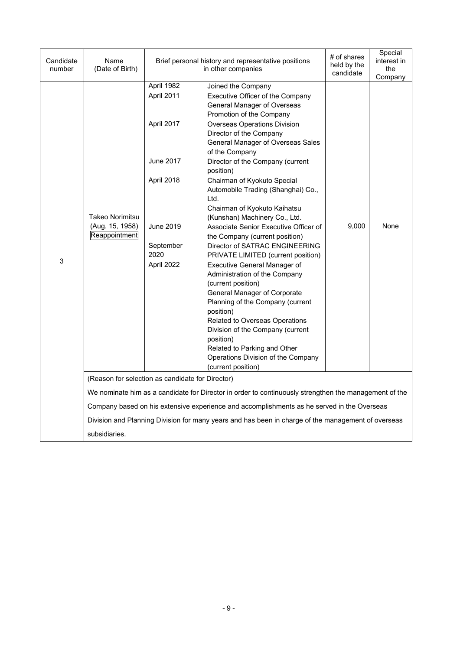| Candidate<br>number | Name<br>(Date of Birth)                             |                                                                                                                          | Brief personal history and representative positions<br>in other companies                                                                                                                                                                                                                                                                                                                                                                                                                                                                                                                                                                                                                                                                                                                                                                                                                                                                           | # of shares<br>held by the<br>candidate | Special<br>interest in<br>the<br>Company |
|---------------------|-----------------------------------------------------|--------------------------------------------------------------------------------------------------------------------------|-----------------------------------------------------------------------------------------------------------------------------------------------------------------------------------------------------------------------------------------------------------------------------------------------------------------------------------------------------------------------------------------------------------------------------------------------------------------------------------------------------------------------------------------------------------------------------------------------------------------------------------------------------------------------------------------------------------------------------------------------------------------------------------------------------------------------------------------------------------------------------------------------------------------------------------------------------|-----------------------------------------|------------------------------------------|
| 3                   | Takeo Norimitsu<br>(Aug. 15, 1958)<br>Reappointment | April 1982<br>April 2011<br>April 2017<br><b>June 2017</b><br>April 2018<br>June 2019<br>September<br>2020<br>April 2022 | Joined the Company<br>Executive Officer of the Company<br>General Manager of Overseas<br>Promotion of the Company<br><b>Overseas Operations Division</b><br>Director of the Company<br>General Manager of Overseas Sales<br>of the Company<br>Director of the Company (current<br>position)<br>Chairman of Kyokuto Special<br>Automobile Trading (Shanghai) Co.,<br>Ltd.<br>Chairman of Kyokuto Kaihatsu<br>(Kunshan) Machinery Co., Ltd.<br>Associate Senior Executive Officer of<br>the Company (current position)<br>Director of SATRAC ENGINEERING<br>PRIVATE LIMITED (current position)<br>Executive General Manager of<br>Administration of the Company<br>(current position)<br>General Manager of Corporate<br>Planning of the Company (current<br>position)<br>Related to Overseas Operations<br>Division of the Company (current<br>position)<br>Related to Parking and Other<br>Operations Division of the Company<br>(current position) | 9,000                                   | None                                     |
|                     | (Reason for selection as candidate for Director)    |                                                                                                                          |                                                                                                                                                                                                                                                                                                                                                                                                                                                                                                                                                                                                                                                                                                                                                                                                                                                                                                                                                     |                                         |                                          |
|                     |                                                     |                                                                                                                          | We nominate him as a candidate for Director in order to continuously strengthen the management of the                                                                                                                                                                                                                                                                                                                                                                                                                                                                                                                                                                                                                                                                                                                                                                                                                                               |                                         |                                          |
|                     |                                                     |                                                                                                                          | Company based on his extensive experience and accomplishments as he served in the Overseas                                                                                                                                                                                                                                                                                                                                                                                                                                                                                                                                                                                                                                                                                                                                                                                                                                                          |                                         |                                          |
|                     |                                                     |                                                                                                                          | Division and Planning Division for many years and has been in charge of the management of overseas                                                                                                                                                                                                                                                                                                                                                                                                                                                                                                                                                                                                                                                                                                                                                                                                                                                  |                                         |                                          |
|                     | subsidiaries.                                       |                                                                                                                          |                                                                                                                                                                                                                                                                                                                                                                                                                                                                                                                                                                                                                                                                                                                                                                                                                                                                                                                                                     |                                         |                                          |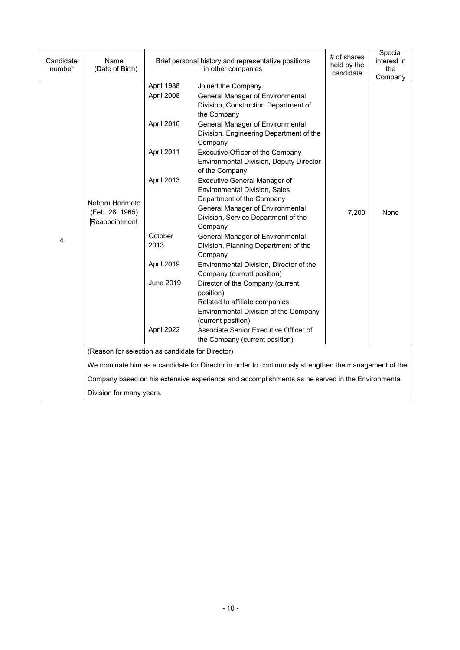| Candidate<br>number | Name<br>(Date of Birth)                          |                          | # of shares<br>Brief personal history and representative positions<br>held by the<br>in other companies              |       | Special<br>interest in<br>the<br>Company |
|---------------------|--------------------------------------------------|--------------------------|----------------------------------------------------------------------------------------------------------------------|-------|------------------------------------------|
|                     |                                                  | April 1988<br>April 2008 | Joined the Company<br><b>General Manager of Environmental</b><br>Division, Construction Department of<br>the Company |       |                                          |
|                     |                                                  | April 2010               | <b>General Manager of Environmental</b><br>Division, Engineering Department of the<br>Company                        |       |                                          |
|                     |                                                  | April 2011               | Executive Officer of the Company<br><b>Environmental Division, Deputy Director</b><br>of the Company                 |       |                                          |
|                     | Noboru Horimoto                                  | April 2013               | <b>Executive General Manager of</b><br><b>Environmental Division, Sales</b><br>Department of the Company             |       |                                          |
|                     | (Feb. 28, 1965)<br>Reappointment                 |                          | General Manager of Environmental<br>Division, Service Department of the<br>Company                                   | 7,200 | None                                     |
| 4                   |                                                  | October<br>2013          | <b>General Manager of Environmental</b><br>Division, Planning Department of the<br>Company                           |       |                                          |
|                     |                                                  | April 2019               | Environmental Division, Director of the<br>Company (current position)                                                |       |                                          |
|                     |                                                  | <b>June 2019</b>         | Director of the Company (current<br>position)<br>Related to affiliate companies,                                     |       |                                          |
|                     |                                                  |                          | Environmental Division of the Company<br>(current position)                                                          |       |                                          |
|                     |                                                  | April 2022               | Associate Senior Executive Officer of<br>the Company (current position)                                              |       |                                          |
|                     | (Reason for selection as candidate for Director) |                          |                                                                                                                      |       |                                          |
|                     |                                                  |                          | We nominate him as a candidate for Director in order to continuously strengthen the management of the                |       |                                          |
|                     |                                                  |                          | Company based on his extensive experience and accomplishments as he served in the Environmental                      |       |                                          |
|                     | Division for many years.                         |                          |                                                                                                                      |       |                                          |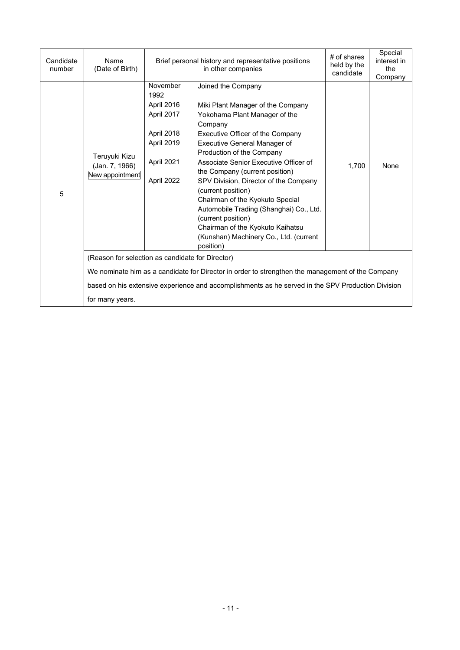| Candidate<br>number | Name<br>(Date of Birth)                            |                                                                                                      | Brief personal history and representative positions<br>in other companies                                                                                                                                                                                                                                                                                                                                                                                                                                                                     | # of shares<br>held by the<br>candidate | Special<br>interest in<br>the<br>Company |  |  |
|---------------------|----------------------------------------------------|------------------------------------------------------------------------------------------------------|-----------------------------------------------------------------------------------------------------------------------------------------------------------------------------------------------------------------------------------------------------------------------------------------------------------------------------------------------------------------------------------------------------------------------------------------------------------------------------------------------------------------------------------------------|-----------------------------------------|------------------------------------------|--|--|
| 5                   | Teruyuki Kizu<br>(Jan. 7, 1966)<br>New appointment | November<br>1992<br>April 2016<br>April 2017<br>April 2018<br>April 2019<br>April 2021<br>April 2022 | Joined the Company<br>Miki Plant Manager of the Company<br>Yokohama Plant Manager of the<br>Company<br>Executive Officer of the Company<br>Executive General Manager of<br>Production of the Company<br>Associate Senior Executive Officer of<br>the Company (current position)<br>SPV Division, Director of the Company<br>(current position)<br>Chairman of the Kyokuto Special<br>Automobile Trading (Shanghai) Co., Ltd.<br>(current position)<br>Chairman of the Kyokuto Kaihatsu<br>(Kunshan) Machinery Co., Ltd. (current<br>position) | 1,700                                   | None                                     |  |  |
|                     |                                                    | (Reason for selection as candidate for Director)                                                     |                                                                                                                                                                                                                                                                                                                                                                                                                                                                                                                                               |                                         |                                          |  |  |
|                     |                                                    |                                                                                                      | We nominate him as a candidate for Director in order to strengthen the management of the Company                                                                                                                                                                                                                                                                                                                                                                                                                                              |                                         |                                          |  |  |
|                     |                                                    |                                                                                                      | based on his extensive experience and accomplishments as he served in the SPV Production Division                                                                                                                                                                                                                                                                                                                                                                                                                                             |                                         |                                          |  |  |
|                     | for many years.                                    |                                                                                                      |                                                                                                                                                                                                                                                                                                                                                                                                                                                                                                                                               |                                         |                                          |  |  |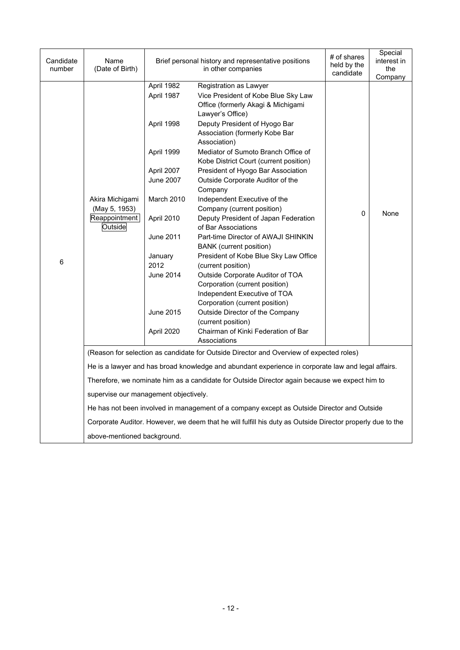| Candidate<br>number | Name<br>(Date of Birth)                                      |                                                                                                                                                                                                                 | Brief personal history and representative positions<br>in other companies                                                                                                                                                                                                                                                                                                                                                                                                                                                                                                                                                                                                                                                                                                                                                                                                                                     | # of shares<br>held by the<br>candidate | Special<br>interest in<br>the<br>Company |
|---------------------|--------------------------------------------------------------|-----------------------------------------------------------------------------------------------------------------------------------------------------------------------------------------------------------------|---------------------------------------------------------------------------------------------------------------------------------------------------------------------------------------------------------------------------------------------------------------------------------------------------------------------------------------------------------------------------------------------------------------------------------------------------------------------------------------------------------------------------------------------------------------------------------------------------------------------------------------------------------------------------------------------------------------------------------------------------------------------------------------------------------------------------------------------------------------------------------------------------------------|-----------------------------------------|------------------------------------------|
| 6                   | Akira Michigami<br>(May 5, 1953)<br>Reappointment<br>Outside | April 1982<br>April 1987<br>April 1998<br>April 1999<br>April 2007<br><b>June 2007</b><br>March 2010<br>April 2010<br><b>June 2011</b><br>January<br>2012<br><b>June 2014</b><br><b>June 2015</b><br>April 2020 | Registration as Lawyer<br>Vice President of Kobe Blue Sky Law<br>Office (formerly Akagi & Michigami<br>Lawyer's Office)<br>Deputy President of Hyogo Bar<br>Association (formerly Kobe Bar<br>Association)<br>Mediator of Sumoto Branch Office of<br>Kobe District Court (current position)<br>President of Hyogo Bar Association<br>Outside Corporate Auditor of the<br>Company<br>Independent Executive of the<br>Company (current position)<br>Deputy President of Japan Federation<br>of Bar Associations<br>Part-time Director of AWAJI SHINKIN<br><b>BANK</b> (current position)<br>President of Kobe Blue Sky Law Office<br>(current position)<br>Outside Corporate Auditor of TOA<br>Corporation (current position)<br>Independent Executive of TOA<br>Corporation (current position)<br>Outside Director of the Company<br>(current position)<br>Chairman of Kinki Federation of Bar<br>Associations | 0                                       | None                                     |
|                     |                                                              |                                                                                                                                                                                                                 | (Reason for selection as candidate for Outside Director and Overview of expected roles)                                                                                                                                                                                                                                                                                                                                                                                                                                                                                                                                                                                                                                                                                                                                                                                                                       |                                         |                                          |
|                     |                                                              |                                                                                                                                                                                                                 | He is a lawyer and has broad knowledge and abundant experience in corporate law and legal affairs.                                                                                                                                                                                                                                                                                                                                                                                                                                                                                                                                                                                                                                                                                                                                                                                                            |                                         |                                          |
|                     |                                                              |                                                                                                                                                                                                                 | Therefore, we nominate him as a candidate for Outside Director again because we expect him to                                                                                                                                                                                                                                                                                                                                                                                                                                                                                                                                                                                                                                                                                                                                                                                                                 |                                         |                                          |
|                     | supervise our management objectively.                        |                                                                                                                                                                                                                 |                                                                                                                                                                                                                                                                                                                                                                                                                                                                                                                                                                                                                                                                                                                                                                                                                                                                                                               |                                         |                                          |
|                     |                                                              |                                                                                                                                                                                                                 | He has not been involved in management of a company except as Outside Director and Outside                                                                                                                                                                                                                                                                                                                                                                                                                                                                                                                                                                                                                                                                                                                                                                                                                    |                                         |                                          |
|                     |                                                              |                                                                                                                                                                                                                 | Corporate Auditor. However, we deem that he will fulfill his duty as Outside Director properly due to the                                                                                                                                                                                                                                                                                                                                                                                                                                                                                                                                                                                                                                                                                                                                                                                                     |                                         |                                          |
|                     | above-mentioned background.                                  |                                                                                                                                                                                                                 |                                                                                                                                                                                                                                                                                                                                                                                                                                                                                                                                                                                                                                                                                                                                                                                                                                                                                                               |                                         |                                          |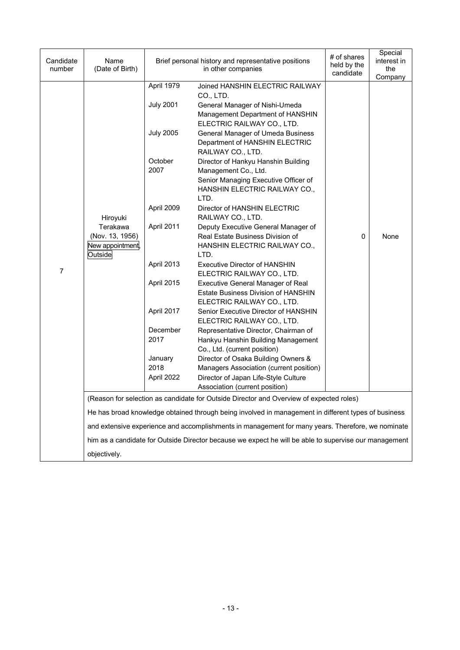| Candidate<br>number | Name<br>(Date of Birth)                                    |                                | Brief personal history and representative positions<br>in other companies                                                                    | # of shares<br>held by the<br>candidate | Special<br>interest in<br>the<br>Company |
|---------------------|------------------------------------------------------------|--------------------------------|----------------------------------------------------------------------------------------------------------------------------------------------|-----------------------------------------|------------------------------------------|
|                     |                                                            | April 1979<br><b>July 2001</b> | Joined HANSHIN ELECTRIC RAILWAY<br>CO., LTD.<br>General Manager of Nishi-Umeda<br>Management Department of HANSHIN                           |                                         |                                          |
| $\overline{7}$      |                                                            | <b>July 2005</b>               | ELECTRIC RAILWAY CO., LTD.<br>General Manager of Umeda Business<br>Department of HANSHIN ELECTRIC<br>RAILWAY CO., LTD.                       |                                         |                                          |
|                     |                                                            | October<br>2007                | Director of Hankyu Hanshin Building<br>Management Co., Ltd.<br>Senior Managing Executive Officer of<br>HANSHIN ELECTRIC RAILWAY CO.,<br>LTD. |                                         |                                          |
|                     | Hiroyuki                                                   | April 2009                     | Director of HANSHIN ELECTRIC<br>RAILWAY CO., LTD.                                                                                            |                                         |                                          |
|                     | Terakawa<br>(Nov. 13, 1956)<br>New appointment,<br>Outside | April 2011                     | Deputy Executive General Manager of<br>Real Estate Business Division of<br>HANSHIN ELECTRIC RAILWAY CO.,<br>LTD.                             | 0                                       | None                                     |
|                     |                                                            | April 2013                     | <b>Executive Director of HANSHIN</b><br>ELECTRIC RAILWAY CO., LTD.                                                                           |                                         |                                          |
|                     |                                                            | April 2015                     | <b>Executive General Manager of Real</b><br>Estate Business Division of HANSHIN<br>ELECTRIC RAILWAY CO., LTD.                                |                                         |                                          |
|                     |                                                            | April 2017                     | Senior Executive Director of HANSHIN<br>ELECTRIC RAILWAY CO., LTD.                                                                           |                                         |                                          |
|                     |                                                            | December<br>2017               | Representative Director, Chairman of<br>Hankyu Hanshin Building Management<br>Co., Ltd. (current position)                                   |                                         |                                          |
|                     |                                                            | January<br>2018                | Director of Osaka Building Owners &<br>Managers Association (current position)                                                               |                                         |                                          |
|                     |                                                            | April 2022                     | Director of Japan Life-Style Culture<br>Association (current position)                                                                       |                                         |                                          |
|                     |                                                            |                                | (Reason for selection as candidate for Outside Director and Overview of expected roles)                                                      |                                         |                                          |
|                     |                                                            |                                | He has broad knowledge obtained through being involved in management in different types of business                                          |                                         |                                          |
|                     |                                                            |                                | and extensive experience and accomplishments in management for many years. Therefore, we nominate                                            |                                         |                                          |
|                     |                                                            |                                | him as a candidate for Outside Director because we expect he will be able to supervise our management                                        |                                         |                                          |
|                     | objectively.                                               |                                |                                                                                                                                              |                                         |                                          |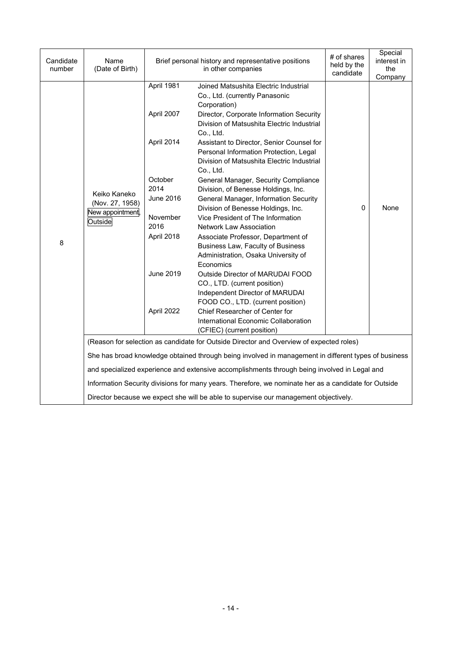| Candidate<br>number | Name<br>(Date of Birth)                                       |                                                                                                                                            | Brief personal history and representative positions<br>in other companies                                                                                                                                                                                                                                                                                                                                                                                                                                                                                                                                                                                                                                                                                                                                                                                                                                                                                                | # of shares<br>held by the<br>candidate | Special<br>interest in<br>the<br>Company |  |
|---------------------|---------------------------------------------------------------|--------------------------------------------------------------------------------------------------------------------------------------------|--------------------------------------------------------------------------------------------------------------------------------------------------------------------------------------------------------------------------------------------------------------------------------------------------------------------------------------------------------------------------------------------------------------------------------------------------------------------------------------------------------------------------------------------------------------------------------------------------------------------------------------------------------------------------------------------------------------------------------------------------------------------------------------------------------------------------------------------------------------------------------------------------------------------------------------------------------------------------|-----------------------------------------|------------------------------------------|--|
| 8                   | Keiko Kaneko<br>(Nov. 27, 1958)<br>New appointment<br>Outside | April 1981<br>April 2007<br>April 2014<br>October<br>2014<br>June 2016<br>November<br>2016<br>April 2018<br><b>June 2019</b><br>April 2022 | Joined Matsushita Electric Industrial<br>Co., Ltd. (currently Panasonic<br>Corporation)<br>Director, Corporate Information Security<br>Division of Matsushita Electric Industrial<br>Co., Ltd.<br>Assistant to Director, Senior Counsel for<br>Personal Information Protection, Legal<br>Division of Matsushita Electric Industrial<br>Co., Ltd.<br>General Manager, Security Compliance<br>Division, of Benesse Holdings, Inc.<br>General Manager, Information Security<br>Division of Benesse Holdings, Inc.<br>Vice President of The Information<br><b>Network Law Association</b><br>Associate Professor, Department of<br>Business Law, Faculty of Business<br>Administration, Osaka University of<br>Economics<br>Outside Director of MARUDAI FOOD<br>CO., LTD. (current position)<br>Independent Director of MARUDAI<br>FOOD CO., LTD. (current position)<br>Chief Researcher of Center for<br>International Economic Collaboration<br>(CFIEC) (current position) | $\mathbf{0}$                            | None                                     |  |
|                     |                                                               |                                                                                                                                            | (Reason for selection as candidate for Outside Director and Overview of expected roles)                                                                                                                                                                                                                                                                                                                                                                                                                                                                                                                                                                                                                                                                                                                                                                                                                                                                                  |                                         |                                          |  |
|                     |                                                               |                                                                                                                                            | She has broad knowledge obtained through being involved in management in different types of business                                                                                                                                                                                                                                                                                                                                                                                                                                                                                                                                                                                                                                                                                                                                                                                                                                                                     |                                         |                                          |  |
|                     |                                                               |                                                                                                                                            | and specialized experience and extensive accomplishments through being involved in Legal and                                                                                                                                                                                                                                                                                                                                                                                                                                                                                                                                                                                                                                                                                                                                                                                                                                                                             |                                         |                                          |  |
|                     |                                                               |                                                                                                                                            | Information Security divisions for many years. Therefore, we nominate her as a candidate for Outside                                                                                                                                                                                                                                                                                                                                                                                                                                                                                                                                                                                                                                                                                                                                                                                                                                                                     |                                         |                                          |  |
|                     |                                                               |                                                                                                                                            | Director because we expect she will be able to supervise our management objectively.                                                                                                                                                                                                                                                                                                                                                                                                                                                                                                                                                                                                                                                                                                                                                                                                                                                                                     |                                         |                                          |  |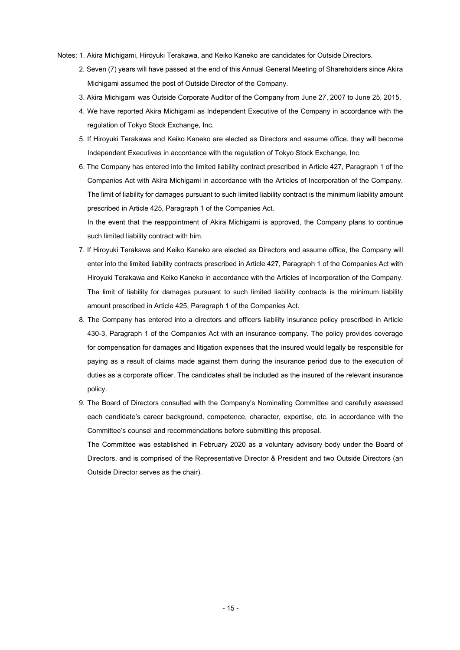- Notes: 1. Akira Michigami, Hiroyuki Terakawa, and Keiko Kaneko are candidates for Outside Directors.
	- 2. Seven (7) years will have passed at the end of this Annual General Meeting of Shareholders since Akira Michigami assumed the post of Outside Director of the Company.
	- 3. Akira Michigami was Outside Corporate Auditor of the Company from June 27, 2007 to June 25, 2015.
	- 4. We have reported Akira Michigami as Independent Executive of the Company in accordance with the regulation of Tokyo Stock Exchange, Inc.
	- 5. If Hiroyuki Terakawa and Keiko Kaneko are elected as Directors and assume office, they will become Independent Executives in accordance with the regulation of Tokyo Stock Exchange, Inc.
	- 6. The Company has entered into the limited liability contract prescribed in Article 427, Paragraph 1 of the Companies Act with Akira Michigami in accordance with the Articles of Incorporation of the Company. The limit of liability for damages pursuant to such limited liability contract is the minimum liability amount prescribed in Article 425, Paragraph 1 of the Companies Act.

In the event that the reappointment of Akira Michigami is approved, the Company plans to continue such limited liability contract with him.

- 7. If Hiroyuki Terakawa and Keiko Kaneko are elected as Directors and assume office, the Company will enter into the limited liability contracts prescribed in Article 427, Paragraph 1 of the Companies Act with Hiroyuki Terakawa and Keiko Kaneko in accordance with the Articles of Incorporation of the Company. The limit of liability for damages pursuant to such limited liability contracts is the minimum liability amount prescribed in Article 425, Paragraph 1 of the Companies Act.
- 8. The Company has entered into a directors and officers liability insurance policy prescribed in Article 430-3, Paragraph 1 of the Companies Act with an insurance company. The policy provides coverage for compensation for damages and litigation expenses that the insured would legally be responsible for paying as a result of claims made against them during the insurance period due to the execution of duties as a corporate officer. The candidates shall be included as the insured of the relevant insurance policy.
- 9. The Board of Directors consulted with the Company's Nominating Committee and carefully assessed each candidate's career background, competence, character, expertise, etc. in accordance with the Committee's counsel and recommendations before submitting this proposal.

The Committee was established in February 2020 as a voluntary advisory body under the Board of Directors, and is comprised of the Representative Director & President and two Outside Directors (an Outside Director serves as the chair).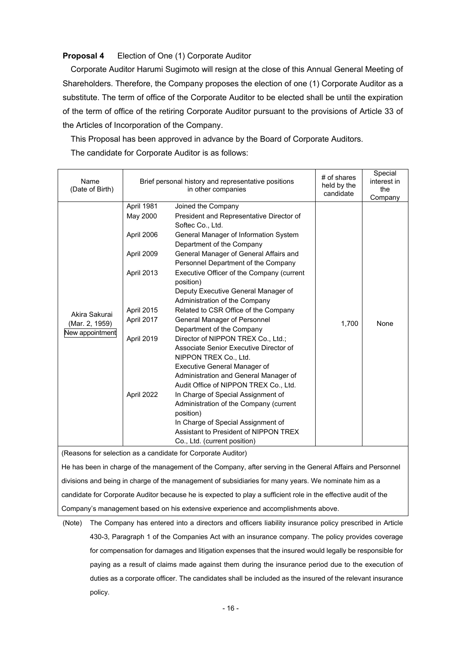## **Proposal 4** Election of One (1) Corporate Auditor

Corporate Auditor Harumi Sugimoto will resign at the close of this Annual General Meeting of Shareholders. Therefore, the Company proposes the election of one (1) Corporate Auditor as a substitute. The term of office of the Corporate Auditor to be elected shall be until the expiration of the term of office of the retiring Corporate Auditor pursuant to the provisions of Article 33 of the Articles of Incorporation of the Company.

This Proposal has been approved in advance by the Board of Corporate Auditors.

The candidate for Corporate Auditor is as follows:

| Name<br>(Date of Birth)                                      |            | Brief personal history and representative positions<br>in other companies | # of shares<br>held by the<br>candidate | Special<br>interest in<br>the<br>Company |  |  |
|--------------------------------------------------------------|------------|---------------------------------------------------------------------------|-----------------------------------------|------------------------------------------|--|--|
|                                                              | April 1981 | Joined the Company                                                        |                                         |                                          |  |  |
|                                                              | May 2000   | President and Representative Director of                                  |                                         |                                          |  |  |
|                                                              |            | Softec Co., Ltd.                                                          |                                         |                                          |  |  |
|                                                              | April 2006 | General Manager of Information System                                     |                                         |                                          |  |  |
|                                                              |            | Department of the Company                                                 |                                         |                                          |  |  |
|                                                              | April 2009 | General Manager of General Affairs and                                    |                                         |                                          |  |  |
|                                                              |            | Personnel Department of the Company                                       |                                         |                                          |  |  |
|                                                              | April 2013 | Executive Officer of the Company (current                                 |                                         |                                          |  |  |
|                                                              |            | position)                                                                 |                                         |                                          |  |  |
|                                                              |            | Deputy Executive General Manager of                                       |                                         |                                          |  |  |
|                                                              |            | Administration of the Company                                             |                                         |                                          |  |  |
| Akira Sakurai                                                | April 2015 | Related to CSR Office of the Company                                      |                                         |                                          |  |  |
| (Mar. 2, 1959)                                               | April 2017 | General Manager of Personnel                                              | 1,700                                   | None                                     |  |  |
| New appointment                                              |            | Department of the Company                                                 |                                         |                                          |  |  |
|                                                              | April 2019 | Director of NIPPON TREX Co., Ltd.;                                        |                                         |                                          |  |  |
|                                                              |            | Associate Senior Executive Director of                                    |                                         |                                          |  |  |
|                                                              |            | NIPPON TREX Co., Ltd.                                                     |                                         |                                          |  |  |
|                                                              |            | <b>Executive General Manager of</b>                                       |                                         |                                          |  |  |
|                                                              |            | Administration and General Manager of                                     |                                         |                                          |  |  |
|                                                              |            | Audit Office of NIPPON TREX Co., Ltd.                                     |                                         |                                          |  |  |
|                                                              | April 2022 | In Charge of Special Assignment of                                        |                                         |                                          |  |  |
|                                                              |            | Administration of the Company (current                                    |                                         |                                          |  |  |
|                                                              |            | position)                                                                 |                                         |                                          |  |  |
|                                                              |            | In Charge of Special Assignment of                                        |                                         |                                          |  |  |
|                                                              |            | Assistant to President of NIPPON TREX                                     |                                         |                                          |  |  |
|                                                              |            | Co., Ltd. (current position)                                              |                                         |                                          |  |  |
| (Bogsons for soloction as a candidate for Corporato Auditor) |            |                                                                           |                                         |                                          |  |  |

(Reasons for selection as a candidate for Corporate Auditor)

He has been in charge of the management of the Company, after serving in the General Affairs and Personnel divisions and being in charge of the management of subsidiaries for many years. We nominate him as a candidate for Corporate Auditor because he is expected to play a sufficient role in the effective audit of the Company's management based on his extensive experience and accomplishments above.

<sup>(</sup>Note) The Company has entered into a directors and officers liability insurance policy prescribed in Article 430-3, Paragraph 1 of the Companies Act with an insurance company. The policy provides coverage for compensation for damages and litigation expenses that the insured would legally be responsible for paying as a result of claims made against them during the insurance period due to the execution of duties as a corporate officer. The candidates shall be included as the insured of the relevant insurance policy.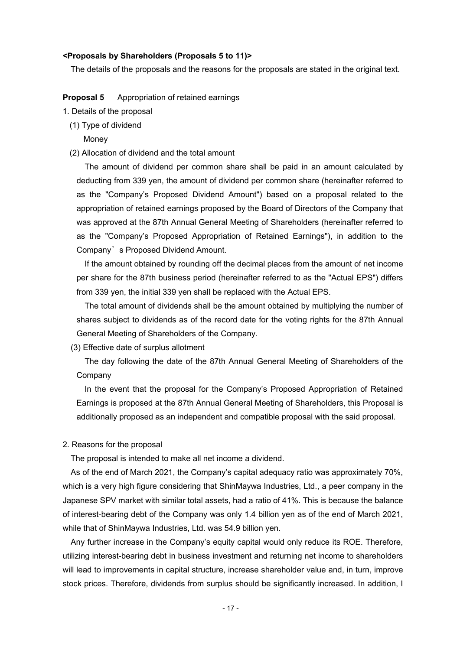## **<Proposals by Shareholders (Proposals 5 to 11)>**

The details of the proposals and the reasons for the proposals are stated in the original text.

**Proposal 5** Appropriation of retained earnings

- 1. Details of the proposal
	- (1) Type of dividend
		- Money
	- (2) Allocation of dividend and the total amount

The amount of dividend per common share shall be paid in an amount calculated by deducting from 339 yen, the amount of dividend per common share (hereinafter referred to as the "Company's Proposed Dividend Amount") based on a proposal related to the appropriation of retained earnings proposed by the Board of Directors of the Company that was approved at the 87th Annual General Meeting of Shareholders (hereinafter referred to as the "Company's Proposed Appropriation of Retained Earnings"), in addition to the Company's Proposed Dividend Amount.

If the amount obtained by rounding off the decimal places from the amount of net income per share for the 87th business period (hereinafter referred to as the "Actual EPS") differs from 339 yen, the initial 339 yen shall be replaced with the Actual EPS.

The total amount of dividends shall be the amount obtained by multiplying the number of shares subject to dividends as of the record date for the voting rights for the 87th Annual General Meeting of Shareholders of the Company.

(3) Effective date of surplus allotment

The day following the date of the 87th Annual General Meeting of Shareholders of the Company

In the event that the proposal for the Company's Proposed Appropriation of Retained Earnings is proposed at the 87th Annual General Meeting of Shareholders, this Proposal is additionally proposed as an independent and compatible proposal with the said proposal.

## 2. Reasons for the proposal

The proposal is intended to make all net income a dividend.

As of the end of March 2021, the Company's capital adequacy ratio was approximately 70%, which is a very high figure considering that ShinMaywa Industries, Ltd., a peer company in the Japanese SPV market with similar total assets, had a ratio of 41%. This is because the balance of interest-bearing debt of the Company was only 1.4 billion yen as of the end of March 2021, while that of ShinMaywa Industries, Ltd. was 54.9 billion yen.

Any further increase in the Company's equity capital would only reduce its ROE. Therefore, utilizing interest-bearing debt in business investment and returning net income to shareholders will lead to improvements in capital structure, increase shareholder value and, in turn, improve stock prices. Therefore, dividends from surplus should be significantly increased. In addition, I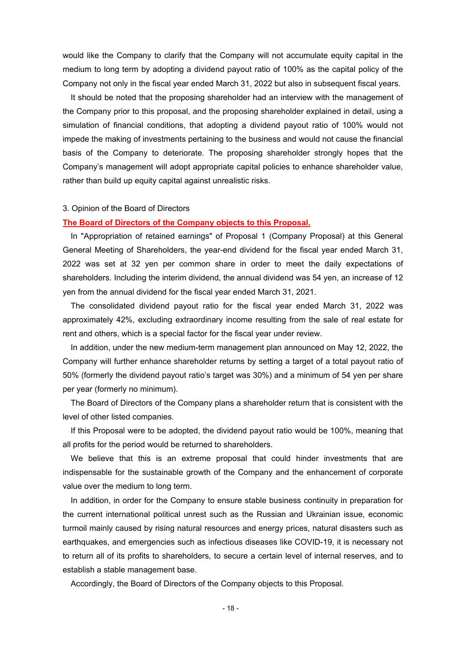would like the Company to clarify that the Company will not accumulate equity capital in the medium to long term by adopting a dividend payout ratio of 100% as the capital policy of the Company not only in the fiscal year ended March 31, 2022 but also in subsequent fiscal years.

It should be noted that the proposing shareholder had an interview with the management of the Company prior to this proposal, and the proposing shareholder explained in detail, using a simulation of financial conditions, that adopting a dividend payout ratio of 100% would not impede the making of investments pertaining to the business and would not cause the financial basis of the Company to deteriorate. The proposing shareholder strongly hopes that the Company's management will adopt appropriate capital policies to enhance shareholder value, rather than build up equity capital against unrealistic risks.

### 3. Opinion of the Board of Directors

#### **The Board of Directors of the Company objects to this Proposal.**

In "Appropriation of retained earnings" of Proposal 1 (Company Proposal) at this General General Meeting of Shareholders, the year-end dividend for the fiscal year ended March 31, 2022 was set at 32 yen per common share in order to meet the daily expectations of shareholders. Including the interim dividend, the annual dividend was 54 yen, an increase of 12 yen from the annual dividend for the fiscal year ended March 31, 2021.

The consolidated dividend payout ratio for the fiscal year ended March 31, 2022 was approximately 42%, excluding extraordinary income resulting from the sale of real estate for rent and others, which is a special factor for the fiscal year under review.

In addition, under the new medium-term management plan announced on May 12, 2022, the Company will further enhance shareholder returns by setting a target of a total payout ratio of 50% (formerly the dividend payout ratio's target was 30%) and a minimum of 54 yen per share per year (formerly no minimum).

The Board of Directors of the Company plans a shareholder return that is consistent with the level of other listed companies.

If this Proposal were to be adopted, the dividend payout ratio would be 100%, meaning that all profits for the period would be returned to shareholders.

We believe that this is an extreme proposal that could hinder investments that are indispensable for the sustainable growth of the Company and the enhancement of corporate value over the medium to long term.

In addition, in order for the Company to ensure stable business continuity in preparation for the current international political unrest such as the Russian and Ukrainian issue, economic turmoil mainly caused by rising natural resources and energy prices, natural disasters such as earthquakes, and emergencies such as infectious diseases like COVID-19, it is necessary not to return all of its profits to shareholders, to secure a certain level of internal reserves, and to establish a stable management base.

Accordingly, the Board of Directors of the Company objects to this Proposal.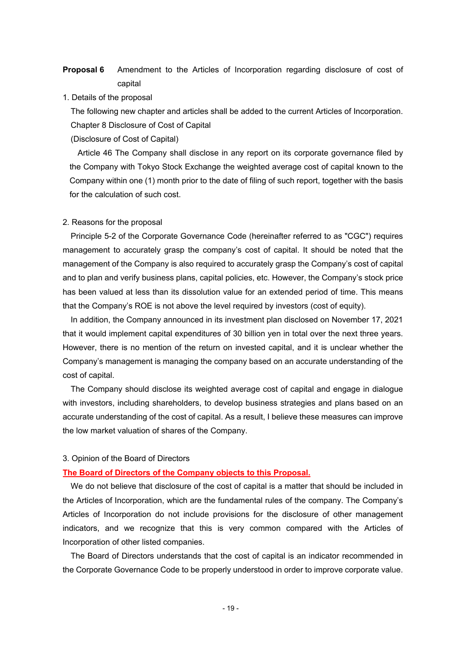# **Proposal 6** Amendment to the Articles of Incorporation regarding disclosure of cost of capital

1. Details of the proposal

The following new chapter and articles shall be added to the current Articles of Incorporation. Chapter 8 Disclosure of Cost of Capital

(Disclosure of Cost of Capital)

Article 46 The Company shall disclose in any report on its corporate governance filed by the Company with Tokyo Stock Exchange the weighted average cost of capital known to the Company within one (1) month prior to the date of filing of such report, together with the basis for the calculation of such cost.

#### 2. Reasons for the proposal

Principle 5-2 of the Corporate Governance Code (hereinafter referred to as "CGC") requires management to accurately grasp the company's cost of capital. It should be noted that the management of the Company is also required to accurately grasp the Company's cost of capital and to plan and verify business plans, capital policies, etc. However, the Company's stock price has been valued at less than its dissolution value for an extended period of time. This means that the Company's ROE is not above the level required by investors (cost of equity).

In addition, the Company announced in its investment plan disclosed on November 17, 2021 that it would implement capital expenditures of 30 billion yen in total over the next three years. However, there is no mention of the return on invested capital, and it is unclear whether the Company's management is managing the company based on an accurate understanding of the cost of capital.

The Company should disclose its weighted average cost of capital and engage in dialogue with investors, including shareholders, to develop business strategies and plans based on an accurate understanding of the cost of capital. As a result, I believe these measures can improve the low market valuation of shares of the Company.

#### 3. Opinion of the Board of Directors

#### **The Board of Directors of the Company objects to this Proposal.**

We do not believe that disclosure of the cost of capital is a matter that should be included in the Articles of Incorporation, which are the fundamental rules of the company. The Company's Articles of Incorporation do not include provisions for the disclosure of other management indicators, and we recognize that this is very common compared with the Articles of Incorporation of other listed companies.

The Board of Directors understands that the cost of capital is an indicator recommended in the Corporate Governance Code to be properly understood in order to improve corporate value.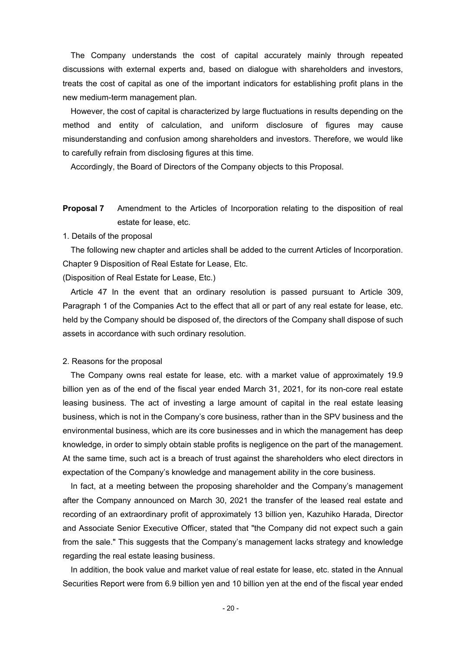The Company understands the cost of capital accurately mainly through repeated discussions with external experts and, based on dialogue with shareholders and investors, treats the cost of capital as one of the important indicators for establishing profit plans in the new medium-term management plan.

However, the cost of capital is characterized by large fluctuations in results depending on the method and entity of calculation, and uniform disclosure of figures may cause misunderstanding and confusion among shareholders and investors. Therefore, we would like to carefully refrain from disclosing figures at this time.

Accordingly, the Board of Directors of the Company objects to this Proposal.

**Proposal 7** Amendment to the Articles of Incorporation relating to the disposition of real estate for lease, etc.

1. Details of the proposal

The following new chapter and articles shall be added to the current Articles of Incorporation. Chapter 9 Disposition of Real Estate for Lease, Etc.

(Disposition of Real Estate for Lease, Etc.)

Article 47 In the event that an ordinary resolution is passed pursuant to Article 309, Paragraph 1 of the Companies Act to the effect that all or part of any real estate for lease, etc. held by the Company should be disposed of, the directors of the Company shall dispose of such assets in accordance with such ordinary resolution.

#### 2. Reasons for the proposal

The Company owns real estate for lease, etc. with a market value of approximately 19.9 billion yen as of the end of the fiscal year ended March 31, 2021, for its non-core real estate leasing business. The act of investing a large amount of capital in the real estate leasing business, which is not in the Company's core business, rather than in the SPV business and the environmental business, which are its core businesses and in which the management has deep knowledge, in order to simply obtain stable profits is negligence on the part of the management. At the same time, such act is a breach of trust against the shareholders who elect directors in expectation of the Company's knowledge and management ability in the core business.

In fact, at a meeting between the proposing shareholder and the Company's management after the Company announced on March 30, 2021 the transfer of the leased real estate and recording of an extraordinary profit of approximately 13 billion yen, Kazuhiko Harada, Director and Associate Senior Executive Officer, stated that "the Company did not expect such a gain from the sale." This suggests that the Company's management lacks strategy and knowledge regarding the real estate leasing business.

In addition, the book value and market value of real estate for lease, etc. stated in the Annual Securities Report were from 6.9 billion yen and 10 billion yen at the end of the fiscal year ended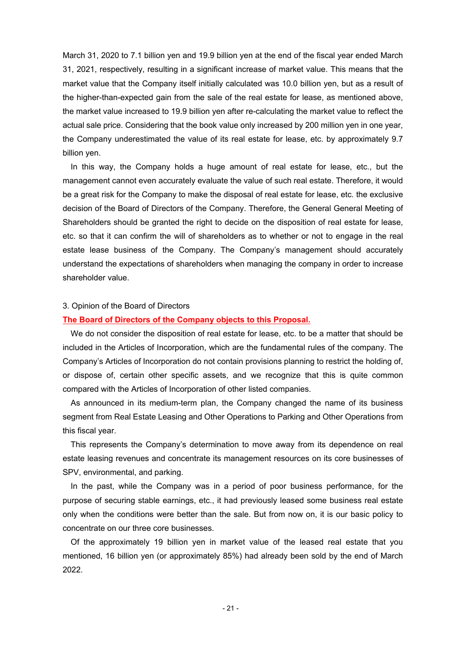March 31, 2020 to 7.1 billion yen and 19.9 billion yen at the end of the fiscal year ended March 31, 2021, respectively, resulting in a significant increase of market value. This means that the market value that the Company itself initially calculated was 10.0 billion yen, but as a result of the higher-than-expected gain from the sale of the real estate for lease, as mentioned above, the market value increased to 19.9 billion yen after re-calculating the market value to reflect the actual sale price. Considering that the book value only increased by 200 million yen in one year, the Company underestimated the value of its real estate for lease, etc. by approximately 9.7 billion yen.

In this way, the Company holds a huge amount of real estate for lease, etc., but the management cannot even accurately evaluate the value of such real estate. Therefore, it would be a great risk for the Company to make the disposal of real estate for lease, etc. the exclusive decision of the Board of Directors of the Company. Therefore, the General General Meeting of Shareholders should be granted the right to decide on the disposition of real estate for lease, etc. so that it can confirm the will of shareholders as to whether or not to engage in the real estate lease business of the Company. The Company's management should accurately understand the expectations of shareholders when managing the company in order to increase shareholder value.

#### 3. Opinion of the Board of Directors

## **The Board of Directors of the Company objects to this Proposal.**

We do not consider the disposition of real estate for lease, etc. to be a matter that should be included in the Articles of Incorporation, which are the fundamental rules of the company. The Company's Articles of Incorporation do not contain provisions planning to restrict the holding of, or dispose of, certain other specific assets, and we recognize that this is quite common compared with the Articles of Incorporation of other listed companies.

As announced in its medium-term plan, the Company changed the name of its business segment from Real Estate Leasing and Other Operations to Parking and Other Operations from this fiscal year.

This represents the Company's determination to move away from its dependence on real estate leasing revenues and concentrate its management resources on its core businesses of SPV, environmental, and parking.

In the past, while the Company was in a period of poor business performance, for the purpose of securing stable earnings, etc., it had previously leased some business real estate only when the conditions were better than the sale. But from now on, it is our basic policy to concentrate on our three core businesses.

Of the approximately 19 billion yen in market value of the leased real estate that you mentioned, 16 billion yen (or approximately 85%) had already been sold by the end of March 2022.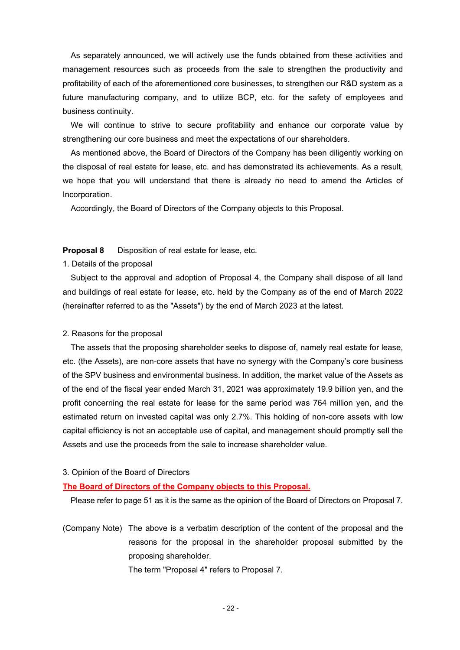As separately announced, we will actively use the funds obtained from these activities and management resources such as proceeds from the sale to strengthen the productivity and profitability of each of the aforementioned core businesses, to strengthen our R&D system as a future manufacturing company, and to utilize BCP, etc. for the safety of employees and business continuity.

We will continue to strive to secure profitability and enhance our corporate value by strengthening our core business and meet the expectations of our shareholders.

As mentioned above, the Board of Directors of the Company has been diligently working on the disposal of real estate for lease, etc. and has demonstrated its achievements. As a result, we hope that you will understand that there is already no need to amend the Articles of Incorporation.

Accordingly, the Board of Directors of the Company objects to this Proposal.

## **Proposal 8** Disposition of real estate for lease, etc.

#### 1. Details of the proposal

Subject to the approval and adoption of Proposal 4, the Company shall dispose of all land and buildings of real estate for lease, etc. held by the Company as of the end of March 2022 (hereinafter referred to as the "Assets") by the end of March 2023 at the latest.

#### 2. Reasons for the proposal

The assets that the proposing shareholder seeks to dispose of, namely real estate for lease, etc. (the Assets), are non-core assets that have no synergy with the Company's core business of the SPV business and environmental business. In addition, the market value of the Assets as of the end of the fiscal year ended March 31, 2021 was approximately 19.9 billion yen, and the profit concerning the real estate for lease for the same period was 764 million yen, and the estimated return on invested capital was only 2.7%. This holding of non-core assets with low capital efficiency is not an acceptable use of capital, and management should promptly sell the Assets and use the proceeds from the sale to increase shareholder value.

#### 3. Opinion of the Board of Directors

# **The Board of Directors of the Company objects to this Proposal.**

Please refer to page 51 as it is the same as the opinion of the Board of Directors on Proposal 7.

(Company Note) The above is a verbatim description of the content of the proposal and the reasons for the proposal in the shareholder proposal submitted by the proposing shareholder.

The term "Proposal 4" refers to Proposal 7.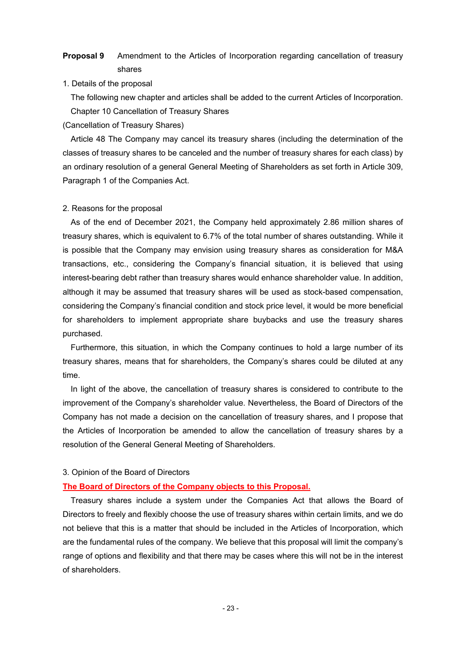# **Proposal 9** Amendment to the Articles of Incorporation regarding cancellation of treasury shares

1. Details of the proposal

The following new chapter and articles shall be added to the current Articles of Incorporation. Chapter 10 Cancellation of Treasury Shares

(Cancellation of Treasury Shares)

Article 48 The Company may cancel its treasury shares (including the determination of the classes of treasury shares to be canceled and the number of treasury shares for each class) by an ordinary resolution of a general General Meeting of Shareholders as set forth in Article 309, Paragraph 1 of the Companies Act.

## 2. Reasons for the proposal

As of the end of December 2021, the Company held approximately 2.86 million shares of treasury shares, which is equivalent to 6.7% of the total number of shares outstanding. While it is possible that the Company may envision using treasury shares as consideration for M&A transactions, etc., considering the Company's financial situation, it is believed that using interest-bearing debt rather than treasury shares would enhance shareholder value. In addition, although it may be assumed that treasury shares will be used as stock-based compensation, considering the Company's financial condition and stock price level, it would be more beneficial for shareholders to implement appropriate share buybacks and use the treasury shares purchased.

Furthermore, this situation, in which the Company continues to hold a large number of its treasury shares, means that for shareholders, the Company's shares could be diluted at any time.

In light of the above, the cancellation of treasury shares is considered to contribute to the improvement of the Company's shareholder value. Nevertheless, the Board of Directors of the Company has not made a decision on the cancellation of treasury shares, and I propose that the Articles of Incorporation be amended to allow the cancellation of treasury shares by a resolution of the General General Meeting of Shareholders.

## 3. Opinion of the Board of Directors

# **The Board of Directors of the Company objects to this Proposal.**

Treasury shares include a system under the Companies Act that allows the Board of Directors to freely and flexibly choose the use of treasury shares within certain limits, and we do not believe that this is a matter that should be included in the Articles of Incorporation, which are the fundamental rules of the company. We believe that this proposal will limit the company's range of options and flexibility and that there may be cases where this will not be in the interest of shareholders.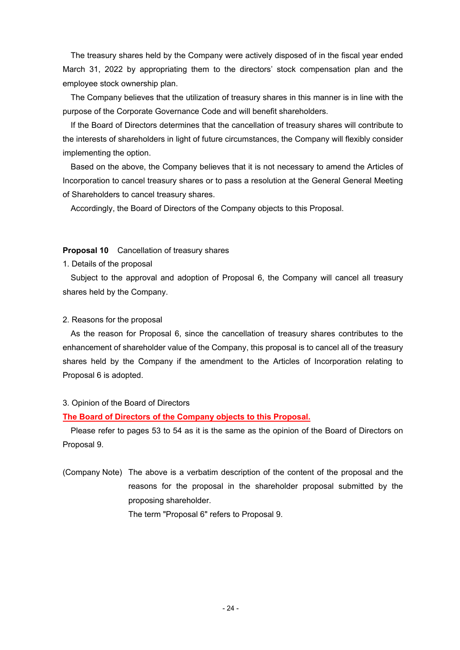The treasury shares held by the Company were actively disposed of in the fiscal year ended March 31, 2022 by appropriating them to the directors' stock compensation plan and the employee stock ownership plan.

The Company believes that the utilization of treasury shares in this manner is in line with the purpose of the Corporate Governance Code and will benefit shareholders.

If the Board of Directors determines that the cancellation of treasury shares will contribute to the interests of shareholders in light of future circumstances, the Company will flexibly consider implementing the option.

Based on the above, the Company believes that it is not necessary to amend the Articles of Incorporation to cancel treasury shares or to pass a resolution at the General General Meeting of Shareholders to cancel treasury shares.

Accordingly, the Board of Directors of the Company objects to this Proposal.

### **Proposal 10** Cancellation of treasury shares

1. Details of the proposal

Subject to the approval and adoption of Proposal 6, the Company will cancel all treasury shares held by the Company.

## 2. Reasons for the proposal

As the reason for Proposal 6, since the cancellation of treasury shares contributes to the enhancement of shareholder value of the Company, this proposal is to cancel all of the treasury shares held by the Company if the amendment to the Articles of Incorporation relating to Proposal 6 is adopted.

## 3. Opinion of the Board of Directors

## **The Board of Directors of the Company objects to this Proposal.**

Please refer to pages 53 to 54 as it is the same as the opinion of the Board of Directors on Proposal 9.

(Company Note) The above is a verbatim description of the content of the proposal and the reasons for the proposal in the shareholder proposal submitted by the proposing shareholder.

The term "Proposal 6" refers to Proposal 9.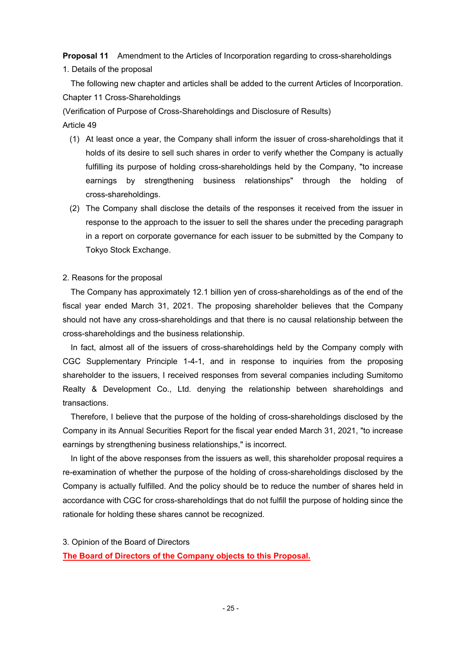**Proposal 11** Amendment to the Articles of Incorporation regarding to cross-shareholdings

1. Details of the proposal

The following new chapter and articles shall be added to the current Articles of Incorporation. Chapter 11 Cross-Shareholdings

(Verification of Purpose of Cross-Shareholdings and Disclosure of Results)

# Article 49

- (1) At least once a year, the Company shall inform the issuer of cross-shareholdings that it holds of its desire to sell such shares in order to verify whether the Company is actually fulfilling its purpose of holding cross-shareholdings held by the Company, "to increase earnings by strengthening business relationships" through the holding of cross-shareholdings.
- (2) The Company shall disclose the details of the responses it received from the issuer in response to the approach to the issuer to sell the shares under the preceding paragraph in a report on corporate governance for each issuer to be submitted by the Company to Tokyo Stock Exchange.

## 2. Reasons for the proposal

The Company has approximately 12.1 billion yen of cross-shareholdings as of the end of the fiscal year ended March 31, 2021. The proposing shareholder believes that the Company should not have any cross-shareholdings and that there is no causal relationship between the cross-shareholdings and the business relationship.

In fact, almost all of the issuers of cross-shareholdings held by the Company comply with CGC Supplementary Principle 1-4-1, and in response to inquiries from the proposing shareholder to the issuers, I received responses from several companies including Sumitomo Realty & Development Co., Ltd. denying the relationship between shareholdings and transactions.

Therefore, I believe that the purpose of the holding of cross-shareholdings disclosed by the Company in its Annual Securities Report for the fiscal year ended March 31, 2021, "to increase earnings by strengthening business relationships," is incorrect.

In light of the above responses from the issuers as well, this shareholder proposal requires a re-examination of whether the purpose of the holding of cross-shareholdings disclosed by the Company is actually fulfilled. And the policy should be to reduce the number of shares held in accordance with CGC for cross-shareholdings that do not fulfill the purpose of holding since the rationale for holding these shares cannot be recognized.

3. Opinion of the Board of Directors

**The Board of Directors of the Company objects to this Proposal.**